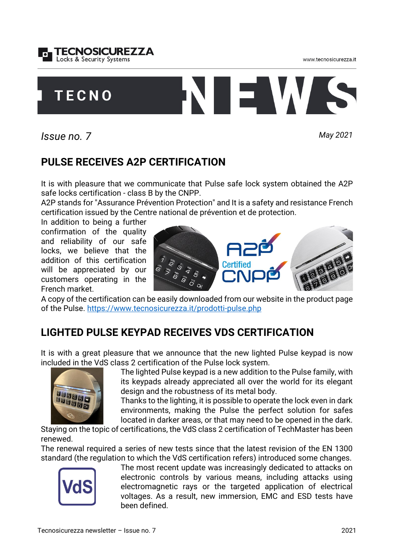



www.tecnosicurezza.it

## **PULSE RECEIVES A2P CERTIFICATION**

It is with pleasure that we communicate that Pulse safe lock system obtained the A2P safe locks certification - class B by the CNPP.

*Issue no. 7 May 2021*

A2P stands for "Assurance Prévention Protection" and It is a safety and resistance French certification issued by the Centre national de prévention et de protection.

In addition to being a further confirmation of the quality and reliability of our safe locks, we believe that the addition of this certification will be appreciated by our customers operating in the French market.

A copy of the certification can be easily downloaded from our website in the product page of the Pulse. <https://www.tecnosicurezza.it/prodotti-pulse.php>

## **LIGHTED PULSE KEYPAD RECEIVES VDS CERTIFICATION**

It is with a great pleasure that we announce that the new lighted Pulse keypad is now included in the VdS class 2 certification of the Pulse lock system.

The lighted Pulse keypad is a new addition to the Pulse family, with its keypads already appreciated all over the world for its elegant design and the robustness of its metal body.

Thanks to the lighting, it is possible to operate the lock even in dark environments, making the Pulse the perfect solution for safes located in darker areas, or that may need to be opened in the dark.

Staying on the topic of certifications, the VdS class 2 certification of TechMaster has been renewed.

The renewal required a series of new tests since that the latest revision of the EN 1300 standard (the regulation to which the VdS certification refers) introduced some changes.

> The most recent update was increasingly dedicated to attacks on electronic controls by various means, including attacks using electromagnetic rays or the targeted application of electrical voltages. As a result, new immersion, EMC and ESD tests have been defined.